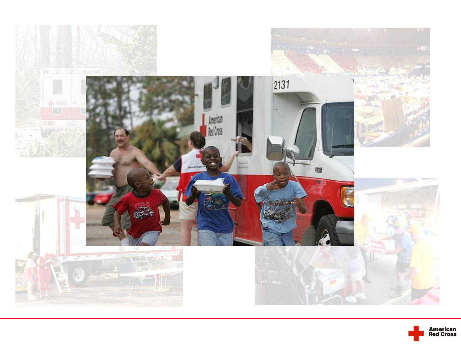

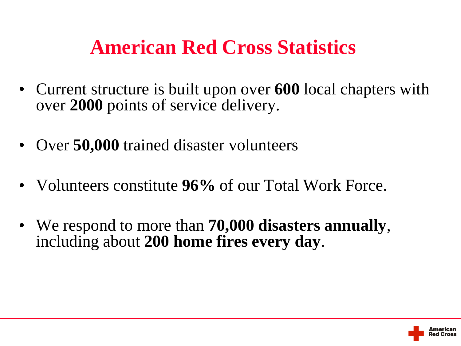# **American Red Cross Statistics**

- Current structure is built upon over **600** local chapters with over **2000** points of service delivery.
- Over **50,000** trained disaster volunteers
- Volunteers constitute **96%** of our Total Work Force.
- We respond to more than **70,000 disasters annually**, including about **200 home fires every day**.

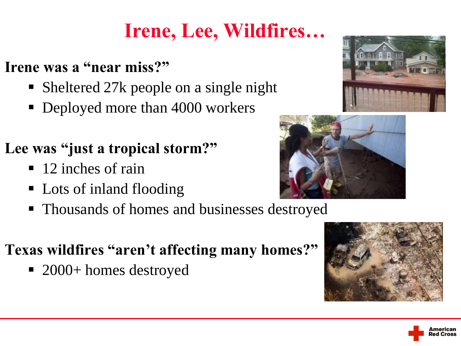# **Irene, Lee, Wildfires…**

#### **Irene was a "near miss?"**

- Sheltered 27k people on a single night
- Deployed more than 4000 workers

#### **Lee was "just a tropical storm?"**

- $\blacksquare$  12 inches of rain
- Lots of inland flooding
- Thousands of homes and businesses destroyed

#### **Texas wildfires "aren't affecting many homes?"**

■ 2000+ homes destroyed







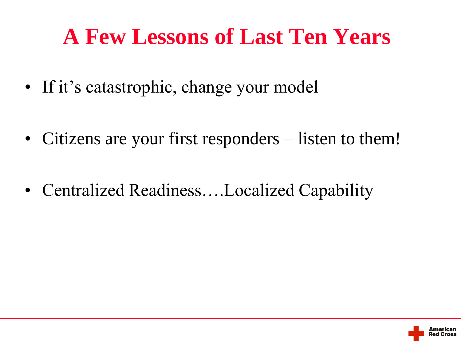# **A Few Lessons of Last Ten Years**

- If it's catastrophic, change your model
- Citizens are your first responders listen to them!
- Centralized Readiness....Localized Capability

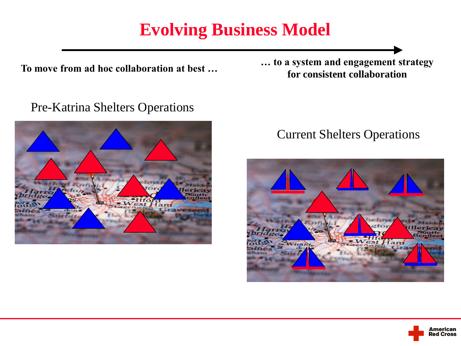### **Evolving Business Model**

Pre-Katrina Shelters Operations



**To move from ad hoc collaboration at best … … to a system and engagement strategy for consistent collaboration**

#### Current Shelters Operations



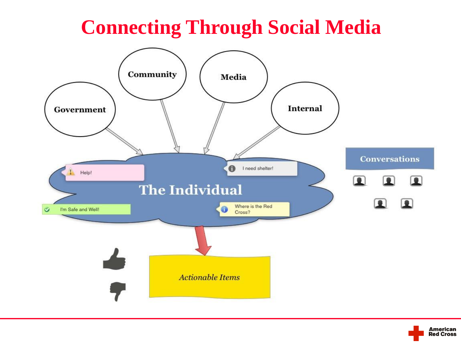# **Connecting Through Social Media**



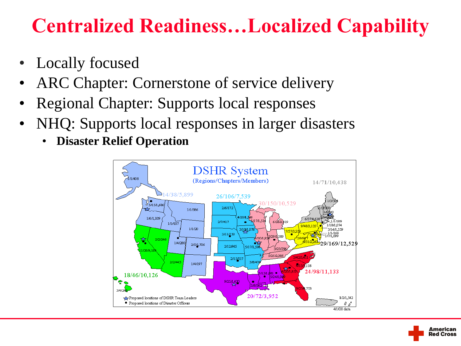# **Centralized Readiness…Localized Capability**

- Locally focused
- ARC Chapter: Cornerstone of service delivery
- Regional Chapter: Supports local responses
- NHQ: Supports local responses in larger disasters
	- **Disaster Relief Operation**



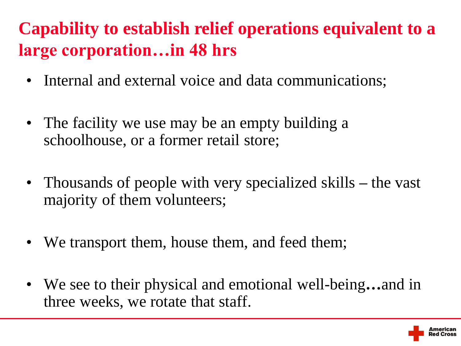## **Capability to establish relief operations equivalent to a large corporation…in 48 hrs**

- Internal and external voice and data communications;
- The facility we use may be an empty building a schoolhouse, or a former retail store;
- Thousands of people with very specialized skills **–** the vast majority of them volunteers;
- We transport them, house them, and feed them;
- We see to their physical and emotional well-being**…**and in three weeks, we rotate that staff.

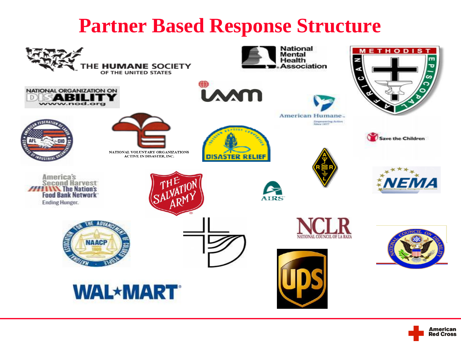## **Partner Based Response Structure**